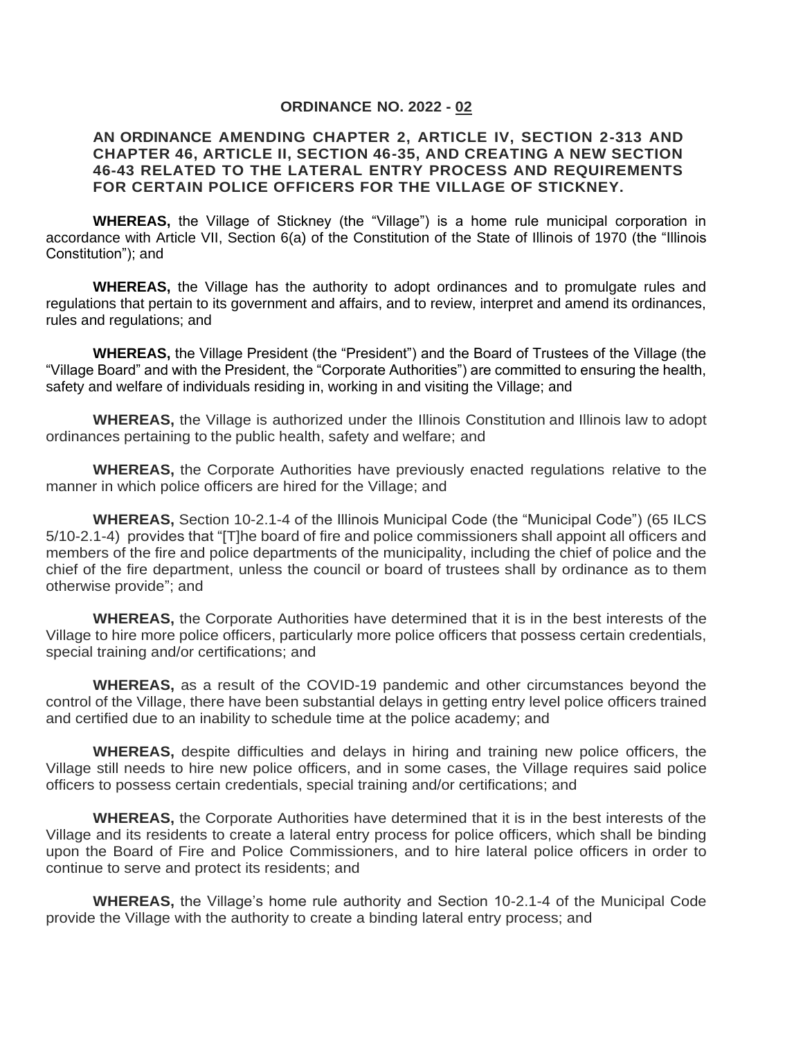#### **ORDINANCE NO. 2022 - 02**

#### **AN ORDINANCE AMENDING CHAPTER 2, ARTICLE IV, SECTION 2-313 AND CHAPTER 46, ARTICLE II, SECTION 46-35, AND CREATING A NEW SECTION 46-43 RELATED TO THE LATERAL ENTRY PROCESS AND REQUIREMENTS FOR CERTAIN POLICE OFFICERS FOR THE VILLAGE OF STICKNEY.**

**WHEREAS,** the Village of Stickney (the "Village") is a home rule municipal corporation in accordance with Article VII, Section 6(a) of the Constitution of the State of Illinois of 1970 (the "Illinois Constitution"); and

**WHEREAS,** the Village has the authority to adopt ordinances and to promulgate rules and regulations that pertain to its government and affairs, and to review, interpret and amend its ordinances, rules and regulations; and

**WHEREAS,** the Village President (the "President") and the Board of Trustees of the Village (the "Village Board" and with the President, the "Corporate Authorities") are committed to ensuring the health, safety and welfare of individuals residing in, working in and visiting the Village; and

**WHEREAS,** the Village is authorized under the Illinois Constitution and Illinois law to adopt ordinances pertaining to the public health, safety and welfare; and

**WHEREAS,** the Corporate Authorities have previously enacted regulations relative to the manner in which police officers are hired for the Village; and

**WHEREAS,** Section 10-2.1-4 of the Illinois Municipal Code (the "Municipal Code") (65 ILCS 5/10-2.1-4) provides that "[T]he board of fire and police commissioners shall appoint all officers and members of the fire and police departments of the municipality, including the chief of police and the chief of the fire department, unless the council or board of trustees shall by ordinance as to them otherwise provide"; and

**WHEREAS,** the Corporate Authorities have determined that it is in the best interests of the Village to hire more police officers, particularly more police officers that possess certain credentials, special training and/or certifications; and

**WHEREAS,** as a result of the COVID-19 pandemic and other circumstances beyond the control of the Village, there have been substantial delays in getting entry level police officers trained and certified due to an inability to schedule time at the police academy; and

**WHEREAS,** despite difficulties and delays in hiring and training new police officers, the Village still needs to hire new police officers, and in some cases, the Village requires said police officers to possess certain credentials, special training and/or certifications; and

**WHEREAS,** the Corporate Authorities have determined that it is in the best interests of the Village and its residents to create a lateral entry process for police officers, which shall be binding upon the Board of Fire and Police Commissioners, and to hire lateral police officers in order to continue to serve and protect its residents; and

**WHEREAS,** the Village's home rule authority and Section 10-2.1-4 of the Municipal Code provide the Village with the authority to create a binding lateral entry process; and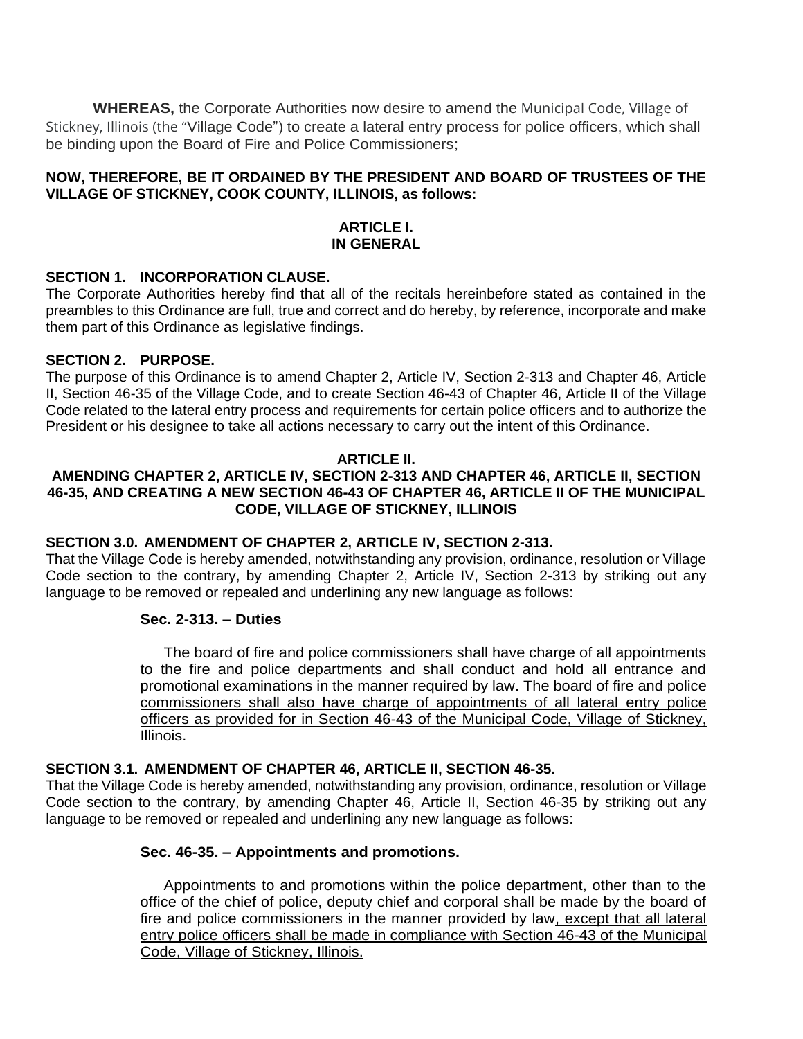**WHEREAS,** the Corporate Authorities now desire to amend the Municipal Code, Village of Stickney, Illinois (the "Village Code") to create a lateral entry process for police officers, which shall be binding upon the Board of Fire and Police Commissioners;

# **NOW, THEREFORE, BE IT ORDAINED BY THE PRESIDENT AND BOARD OF TRUSTEES OF THE VILLAGE OF STICKNEY, COOK COUNTY, ILLINOIS, as follows:**

## **ARTICLE I. IN GENERAL**

## **SECTION 1. INCORPORATION CLAUSE.**

The Corporate Authorities hereby find that all of the recitals hereinbefore stated as contained in the preambles to this Ordinance are full, true and correct and do hereby, by reference, incorporate and make them part of this Ordinance as legislative findings.

## **SECTION 2. PURPOSE.**

The purpose of this Ordinance is to amend Chapter 2, Article IV, Section 2-313 and Chapter 46, Article II, Section 46-35 of the Village Code, and to create Section 46-43 of Chapter 46, Article II of the Village Code related to the lateral entry process and requirements for certain police officers and to authorize the President or his designee to take all actions necessary to carry out the intent of this Ordinance.

## **ARTICLE II.**

# **AMENDING CHAPTER 2, ARTICLE IV, SECTION 2-313 AND CHAPTER 46, ARTICLE II, SECTION 46-35, AND CREATING A NEW SECTION 46-43 OF CHAPTER 46, ARTICLE II OF THE MUNICIPAL CODE, VILLAGE OF STICKNEY, ILLINOIS**

## **SECTION 3.0. AMENDMENT OF CHAPTER 2, ARTICLE IV, SECTION 2-313.**

That the Village Code is hereby amended, notwithstanding any provision, ordinance, resolution or Village Code section to the contrary, by amending Chapter 2, Article IV, Section 2-313 by striking out any language to be removed or repealed and underlining any new language as follows:

#### **Sec. 2-313. – Duties**

The board of fire and police commissioners shall have charge of all appointments to the fire and police departments and shall conduct and hold all entrance and promotional examinations in the manner required by law. The board of fire and police commissioners shall also have charge of appointments of all lateral entry police officers as provided for in Section 46-43 of the Municipal Code, Village of Stickney, Illinois.

#### **SECTION 3.1. AMENDMENT OF CHAPTER 46, ARTICLE II, SECTION 46-35.**

That the Village Code is hereby amended, notwithstanding any provision, ordinance, resolution or Village Code section to the contrary, by amending Chapter 46, Article II, Section 46-35 by striking out any language to be removed or repealed and underlining any new language as follows:

# **Sec. 46-35. – Appointments and promotions.**

Appointments to and promotions within the police department, other than to the office of the chief of police, deputy chief and corporal shall be made by the board of fire and police commissioners in the manner provided by law, except that all lateral entry police officers shall be made in compliance with Section 46-43 of the Municipal Code, Village of Stickney, Illinois.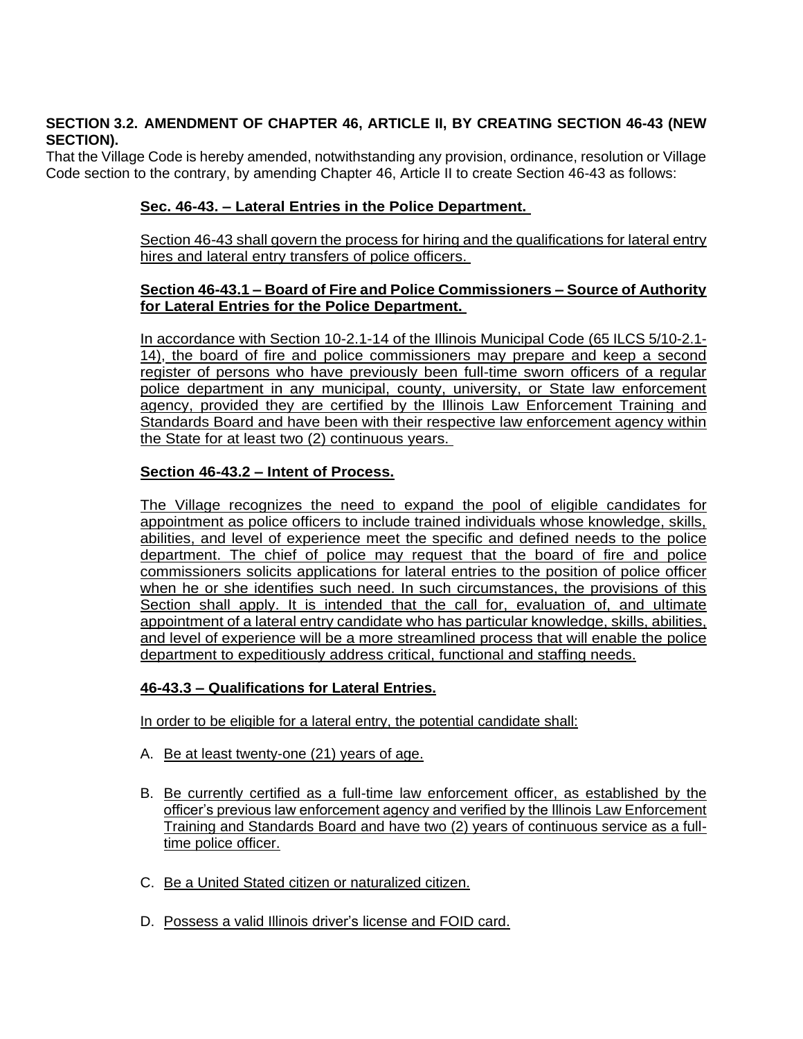# **SECTION 3.2. AMENDMENT OF CHAPTER 46, ARTICLE II, BY CREATING SECTION 46-43 (NEW SECTION).**

That the Village Code is hereby amended, notwithstanding any provision, ordinance, resolution or Village Code section to the contrary, by amending Chapter 46, Article II to create Section 46-43 as follows:

# **Sec. 46-43. – Lateral Entries in the Police Department.**

Section 46-43 shall govern the process for hiring and the qualifications for lateral entry hires and lateral entry transfers of police officers.

## **Section 46-43.1 – Board of Fire and Police Commissioners – Source of Authority for Lateral Entries for the Police Department.**

In accordance with Section 10-2.1-14 of the Illinois Municipal Code (65 ILCS 5/10-2.1- 14), the board of fire and police commissioners may prepare and keep a second register of persons who have previously been full-time sworn officers of a regular police department in any municipal, county, university, or State law enforcement agency, provided they are certified by the Illinois Law Enforcement Training and Standards Board and have been with their respective law enforcement agency within the State for at least two (2) continuous years.

# **Section 46-43.2 – Intent of Process.**

The Village recognizes the need to expand the pool of eligible candidates for appointment as police officers to include trained individuals whose knowledge, skills, abilities, and level of experience meet the specific and defined needs to the police department. The chief of police may request that the board of fire and police commissioners solicits applications for lateral entries to the position of police officer when he or she identifies such need. In such circumstances, the provisions of this Section shall apply. It is intended that the call for, evaluation of, and ultimate appointment of a lateral entry candidate who has particular knowledge, skills, abilities, and level of experience will be a more streamlined process that will enable the police department to expeditiously address critical, functional and staffing needs.

# **46-43.3 – Qualifications for Lateral Entries.**

In order to be eligible for a lateral entry, the potential candidate shall:

- A. Be at least twenty-one (21) years of age.
- B. Be currently certified as a full-time law enforcement officer, as established by the officer's previous law enforcement agency and verified by the Illinois Law Enforcement Training and Standards Board and have two (2) years of continuous service as a fulltime police officer.
- C. Be a United Stated citizen or naturalized citizen.
- D. Possess a valid Illinois driver's license and FOID card.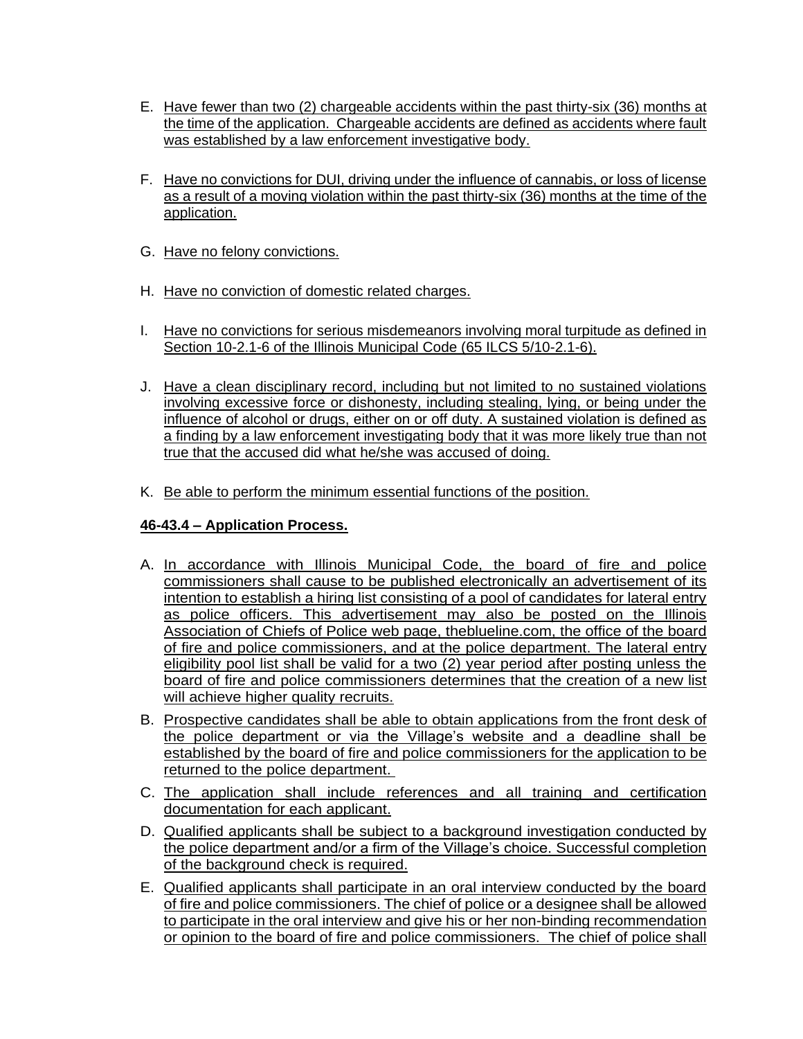- E. Have fewer than two (2) chargeable accidents within the past thirty-six (36) months at the time of the application. Chargeable accidents are defined as accidents where fault was established by a law enforcement investigative body.
- F. Have no convictions for DUI, driving under the influence of cannabis, or loss of license as a result of a moving violation within the past thirty-six (36) months at the time of the application.
- G. Have no felony convictions.
- H. Have no conviction of domestic related charges.
- I. Have no convictions for serious misdemeanors involving moral turpitude as defined in Section 10-2.1-6 of the Illinois Municipal Code (65 ILCS 5/10-2.1-6).
- J. Have a clean disciplinary record, including but not limited to no sustained violations involving excessive force or dishonesty, including stealing, lying, or being under the influence of alcohol or drugs, either on or off duty. A sustained violation is defined as a finding by a law enforcement investigating body that it was more likely true than not true that the accused did what he/she was accused of doing.
- K. Be able to perform the minimum essential functions of the position.

# **46-43.4 – Application Process.**

- A. In accordance with Illinois Municipal Code, the board of fire and police commissioners shall cause to be published electronically an advertisement of its intention to establish a hiring list consisting of a pool of candidates for lateral entry as police officers. This advertisement may also be posted on the Illinois Association of Chiefs of Police web page, theblueline.com, the office of the board of fire and police commissioners, and at the police department. The lateral entry eligibility pool list shall be valid for a two (2) year period after posting unless the board of fire and police commissioners determines that the creation of a new list will achieve higher quality recruits.
- B. Prospective candidates shall be able to obtain applications from the front desk of the police department or via the Village's website and a deadline shall be established by the board of fire and police commissioners for the application to be returned to the police department.
- C. The application shall include references and all training and certification documentation for each applicant.
- D. Qualified applicants shall be subject to a background investigation conducted by the police department and/or a firm of the Village's choice. Successful completion of the background check is required.
- E. Qualified applicants shall participate in an oral interview conducted by the board of fire and police commissioners. The chief of police or a designee shall be allowed to participate in the oral interview and give his or her non-binding recommendation or opinion to the board of fire and police commissioners. The chief of police shall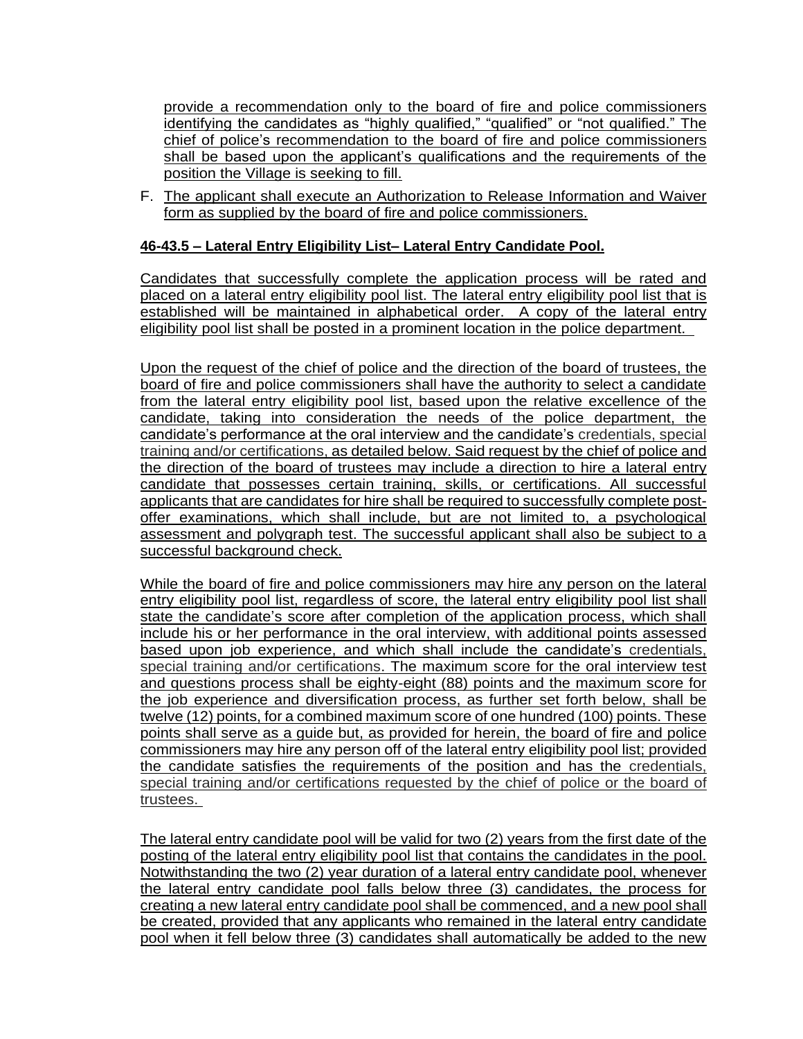provide a recommendation only to the board of fire and police commissioners identifying the candidates as "highly qualified," "qualified" or "not qualified." The chief of police's recommendation to the board of fire and police commissioners shall be based upon the applicant's qualifications and the requirements of the position the Village is seeking to fill.

F. The applicant shall execute an Authorization to Release Information and Waiver form as supplied by the board of fire and police commissioners.

## **46-43.5 – Lateral Entry Eligibility List– Lateral Entry Candidate Pool.**

Candidates that successfully complete the application process will be rated and placed on a lateral entry eligibility pool list. The lateral entry eligibility pool list that is established will be maintained in alphabetical order. A copy of the lateral entry eligibility pool list shall be posted in a prominent location in the police department.

Upon the request of the chief of police and the direction of the board of trustees, the board of fire and police commissioners shall have the authority to select a candidate from the lateral entry eligibility pool list, based upon the relative excellence of the candidate, taking into consideration the needs of the police department, the candidate's performance at the oral interview and the candidate's credentials, special training and/or certifications, as detailed below. Said request by the chief of police and the direction of the board of trustees may include a direction to hire a lateral entry candidate that possesses certain training, skills, or certifications. All successful applicants that are candidates for hire shall be required to successfully complete postoffer examinations, which shall include, but are not limited to, a psychological assessment and polygraph test. The successful applicant shall also be subject to a successful background check.

While the board of fire and police commissioners may hire any person on the lateral entry eligibility pool list, regardless of score, the lateral entry eligibility pool list shall state the candidate's score after completion of the application process, which shall include his or her performance in the oral interview, with additional points assessed based upon job experience, and which shall include the candidate's credentials, special training and/or certifications. The maximum score for the oral interview test and questions process shall be eighty-eight (88) points and the maximum score for the job experience and diversification process, as further set forth below, shall be twelve (12) points, for a combined maximum score of one hundred (100) points. These points shall serve as a guide but, as provided for herein, the board of fire and police commissioners may hire any person off of the lateral entry eligibility pool list; provided the candidate satisfies the requirements of the position and has the credentials, special training and/or certifications requested by the chief of police or the board of trustees.

The lateral entry candidate pool will be valid for two (2) years from the first date of the posting of the lateral entry eligibility pool list that contains the candidates in the pool. Notwithstanding the two (2) year duration of a lateral entry candidate pool, whenever the lateral entry candidate pool falls below three (3) candidates, the process for creating a new lateral entry candidate pool shall be commenced, and a new pool shall be created, provided that any applicants who remained in the lateral entry candidate pool when it fell below three (3) candidates shall automatically be added to the new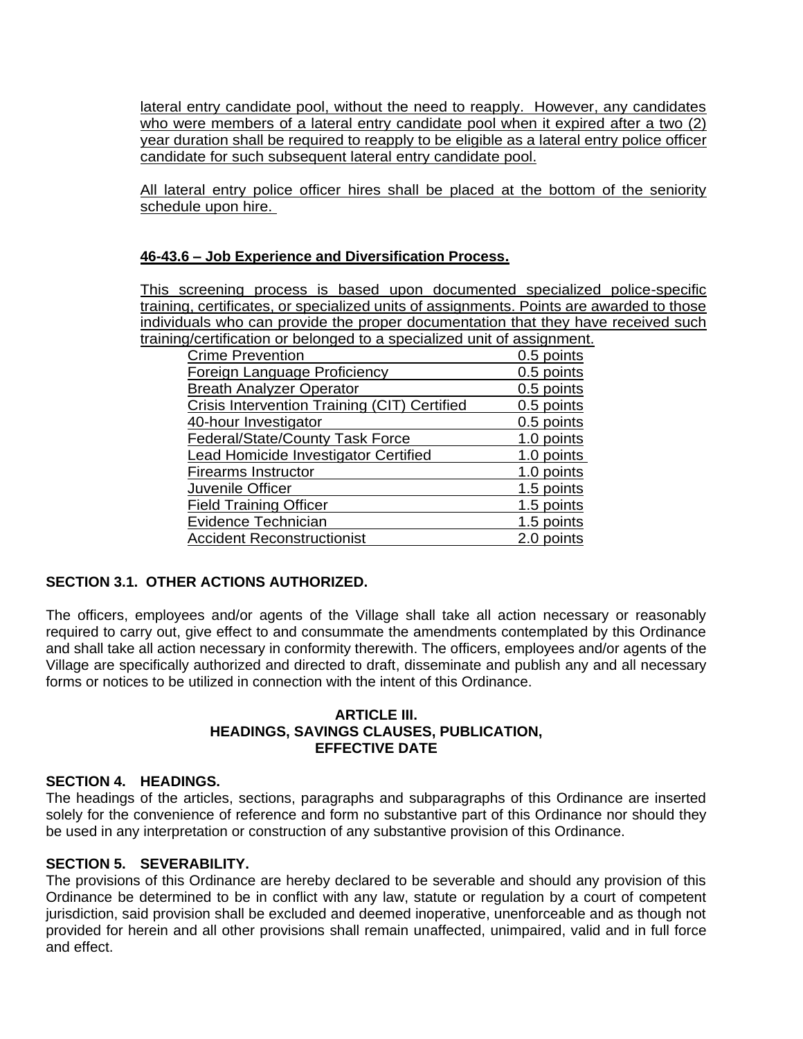lateral entry candidate pool, without the need to reapply. However, any candidates who were members of a lateral entry candidate pool when it expired after a two (2) year duration shall be required to reapply to be eligible as a lateral entry police officer candidate for such subsequent lateral entry candidate pool.

All lateral entry police officer hires shall be placed at the bottom of the seniority schedule upon hire.

## **46-43.6 – Job Experience and Diversification Process.**

This screening process is based upon documented specialized police-specific training, certificates, or specialized units of assignments. Points are awarded to those individuals who can provide the proper documentation that they have received such training/certification or belonged to a specialized unit of assignment.

| <b>Crime Prevention</b>                             | 0.5 points |
|-----------------------------------------------------|------------|
| Foreign Language Proficiency                        | 0.5 points |
| <b>Breath Analyzer Operator</b>                     | 0.5 points |
| <b>Crisis Intervention Training (CIT) Certified</b> | 0.5 points |
| 40-hour Investigator                                | 0.5 points |
| <b>Federal/State/County Task Force</b>              | 1.0 points |
| <b>Lead Homicide Investigator Certified</b>         | 1.0 points |
| <b>Firearms Instructor</b>                          | 1.0 points |
| Juvenile Officer                                    | 1.5 points |
| <b>Field Training Officer</b>                       | 1.5 points |
| Evidence Technician                                 | 1.5 points |
| <b>Accident Reconstructionist</b>                   | 2.0 points |

# **SECTION 3.1. OTHER ACTIONS AUTHORIZED.**

The officers, employees and/or agents of the Village shall take all action necessary or reasonably required to carry out, give effect to and consummate the amendments contemplated by this Ordinance and shall take all action necessary in conformity therewith. The officers, employees and/or agents of the Village are specifically authorized and directed to draft, disseminate and publish any and all necessary forms or notices to be utilized in connection with the intent of this Ordinance.

#### **ARTICLE III. HEADINGS, SAVINGS CLAUSES, PUBLICATION, EFFECTIVE DATE**

#### **SECTION 4. HEADINGS.**

The headings of the articles, sections, paragraphs and subparagraphs of this Ordinance are inserted solely for the convenience of reference and form no substantive part of this Ordinance nor should they be used in any interpretation or construction of any substantive provision of this Ordinance.

#### **SECTION 5. SEVERABILITY.**

The provisions of this Ordinance are hereby declared to be severable and should any provision of this Ordinance be determined to be in conflict with any law, statute or regulation by a court of competent jurisdiction, said provision shall be excluded and deemed inoperative, unenforceable and as though not provided for herein and all other provisions shall remain unaffected, unimpaired, valid and in full force and effect.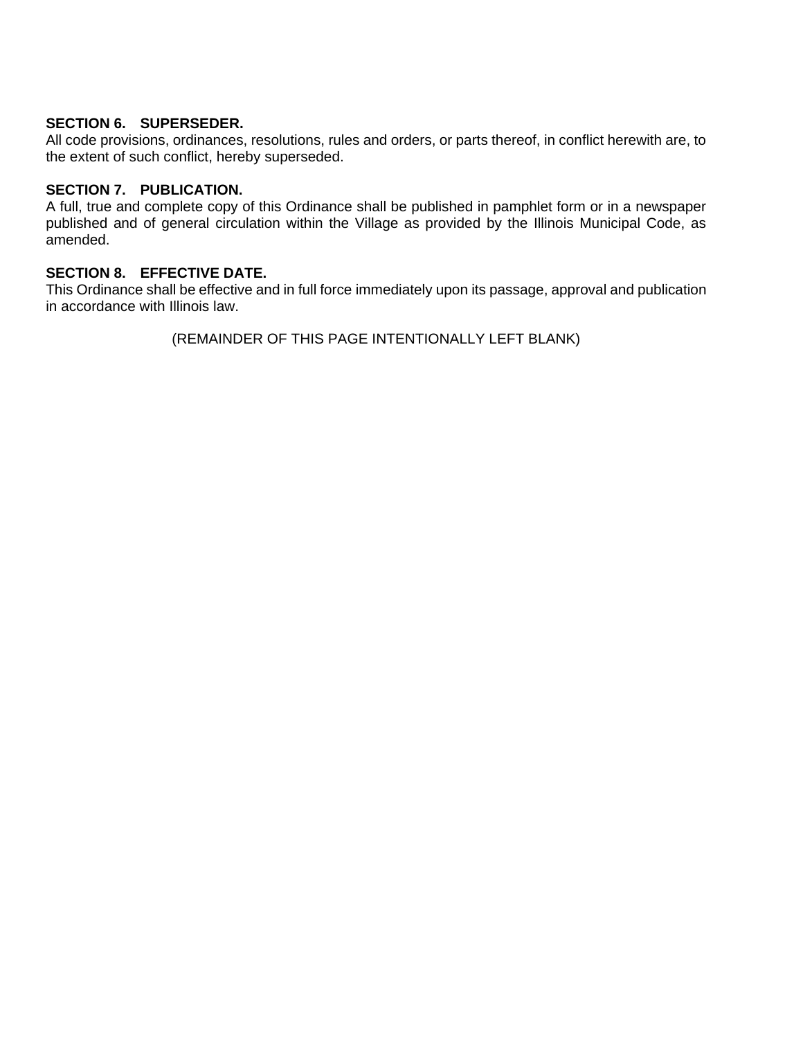# **SECTION 6. SUPERSEDER.**

All code provisions, ordinances, resolutions, rules and orders, or parts thereof, in conflict herewith are, to the extent of such conflict, hereby superseded.

# **SECTION 7. PUBLICATION.**

A full, true and complete copy of this Ordinance shall be published in pamphlet form or in a newspaper published and of general circulation within the Village as provided by the Illinois Municipal Code, as amended.

## **SECTION 8. EFFECTIVE DATE.**

This Ordinance shall be effective and in full force immediately upon its passage, approval and publication in accordance with Illinois law.

(REMAINDER OF THIS PAGE INTENTIONALLY LEFT BLANK)